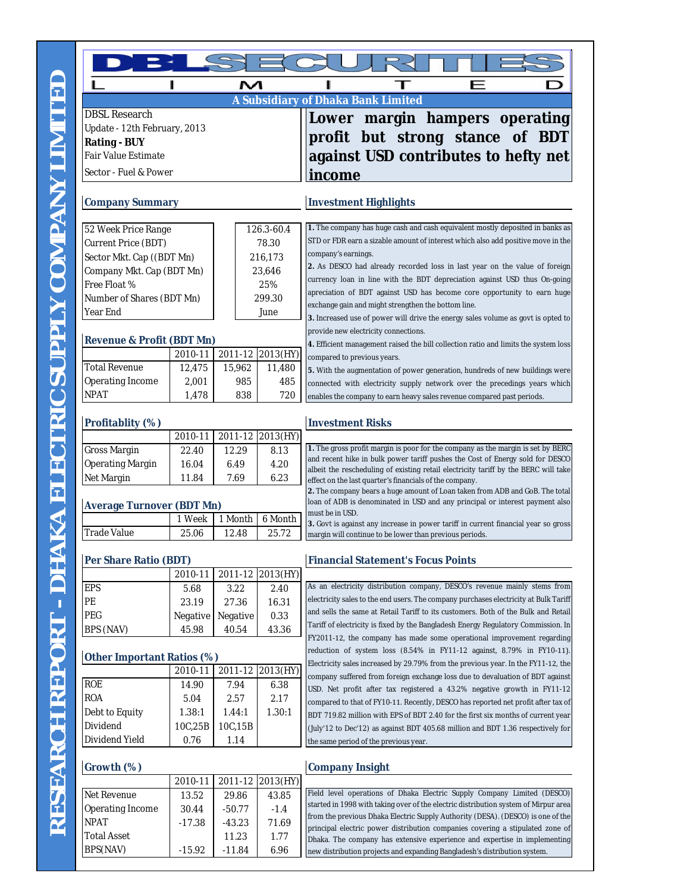| <b>DBSL Research</b>                                |          |          |                  | A Subsidiary of Dhaka Bank Limited                                                                                                                                   |
|-----------------------------------------------------|----------|----------|------------------|----------------------------------------------------------------------------------------------------------------------------------------------------------------------|
|                                                     |          |          |                  | Lower margin hampers operating                                                                                                                                       |
| Update - 12th February, 2013<br><b>Rating - BUY</b> |          |          |                  | profit but strong stance<br>of BDT                                                                                                                                   |
| <b>Fair Value Estimate</b>                          |          |          |                  | against USD contributes to hefty net                                                                                                                                 |
|                                                     |          |          |                  |                                                                                                                                                                      |
| Sector - Fuel & Power                               |          |          |                  | income                                                                                                                                                               |
| <b>Company Summary</b>                              |          |          |                  | <b>Investment Highlights</b>                                                                                                                                         |
| 52 Week Price Range                                 |          |          | 126.3-60.4       | 1. The company has huge cash and cash equivalent mostly deposited in banks as                                                                                        |
| Current Price (BDT)                                 |          | 78.30    |                  | STD or FDR earn a sizable amount of interest which also add positive move in the                                                                                     |
| Sector Mkt. Cap ((BDT Mn)                           |          | 216,173  |                  | company's earnings.                                                                                                                                                  |
| Company Mkt. Cap (BDT Mn)                           |          |          | 23,646           | 2. As DESCO had already recorded loss in last year on the value of foreign                                                                                           |
| Free Float %                                        |          |          | 25%              | currency loan in line with the BDT depreciation against USD thus On-going                                                                                            |
| Number of Shares (BDT Mn)                           |          |          | 299.30           | apreciation of BDT against USD has become core opportunity to earn huge<br>exchange gain and might strengthen the bottom line.                                       |
| Year End                                            |          | June     |                  | 3. Increased use of power will drive the energy sales volume as govt is opted to                                                                                     |
|                                                     |          |          |                  | provide new electricity connections.                                                                                                                                 |
| <b>Revenue &amp; Profit (BDT Mn)</b>                |          |          |                  | 4. Efficient management raised the bill collection ratio and limits the system loss                                                                                  |
|                                                     | 2010-11  |          | 2011-12 2013(HY) | compared to previous years.                                                                                                                                          |
| <b>Total Revenue</b>                                | 12,475   | 15,962   | 11,480           | 5. With the augmentation of power generation, hundreds of new buildings were                                                                                         |
| Operating Income                                    | 2,001    | 985      | 485              | connected with electricity supply network over the precedings years which                                                                                            |
| <b>NPAT</b>                                         | 1,478    | 838      | 720              | enables the company to earn heavy sales revenue compared past periods.                                                                                               |
| Profitablity (%)                                    |          |          |                  | <b>Investment Risks</b>                                                                                                                                              |
|                                                     | 2010-11  |          | 2011-12 2013(HY) |                                                                                                                                                                      |
| <b>Gross Margin</b>                                 | 22.40    | 12.29    | 8.13             | 1. The gross profit margin is poor for the company as the margin is set by BERC                                                                                      |
| <b>Operating Margin</b>                             | 16.04    | 6.49     | 4.20             | and recent hike in bulk power tariff pushes the Cost of Energy sold for DESCO<br>albeit the rescheduling of existing retail electricity tariff by the BERC will take |
| Net Margin                                          | 11.84    | 7.69     | 6.23             | effect on the last quarter's financials of the company.                                                                                                              |
|                                                     |          |          |                  | 2. The company bears a huge amount of Loan taken from ADB and GoB. The total<br>loan of ADB is denominated in USD and any principal or interest payment also         |
| <b>Average Turnover (BDT Mn)</b>                    |          |          |                  | must be in USD.                                                                                                                                                      |
|                                                     | 1 Week   | 1 Month  | 6 Month          | 3. Govt is against any increase in power tariff in current financial year so gross                                                                                   |
| <b>Trade Value</b>                                  | 25.06    | 12.48    | 25.72            | margin will continue to be lower than previous periods.                                                                                                              |
| Per Share Ratio (BDT)                               |          |          |                  | <b>Financial Statement's Focus Points</b>                                                                                                                            |
|                                                     | 2010-11  |          | 2011-12 2013(HY) | As an electricity distribution company, DESCO's revenue mainly stems from                                                                                            |
| <b>EPS</b>                                          | 5.68     | 3.22     | 2.40             | electricity sales to the end users. The company purchases electricity at Bulk Tariff                                                                                 |
| PE                                                  | 23.19    | 27.36    | 16.31            | and sells the same at Retail Tariff to its customers. Both of the Bulk and Retail                                                                                    |
| <b>PEG</b>                                          | Negative | Negative | 0.33             | Tariff of electricity is fixed by the Bangladesh Energy Regulatory Commission. In                                                                                    |
| BPS (NAV)                                           | 45.98    | 40.54    | 43.36            | FY2011-12, the company has made some operational improvement regarding                                                                                               |
| Other Important Ratios (%)                          |          |          |                  | reduction of system loss (8.54% in FY11-12 against, 8.79% in FY10-11).                                                                                               |
|                                                     | 2010-11  | 2011-12  | 2013(HY)         | Electricity sales increased by 29.79% from the previous year. In the FY11-12, the                                                                                    |
| <b>ROE</b>                                          | 14.90    | 7.94     | 6.38             | company suffered from foreign exchange loss due to devaluation of BDT against<br>USD. Net profit after tax registered a 43.2% negative growth in FY11-12             |
| <b>ROA</b>                                          | 5.04     | 2.57     | 2.17             | compared to that of FY10-11. Recently, DESCO has reported net profit after tax of                                                                                    |
| Debt to Equity                                      | 1.38:1   | 1.44:1   | 1.30:1           | BDT 719.82 million with EPS of BDT 2.40 for the first six months of current year                                                                                     |
| Dividend                                            | 10C,25B  | 10C,15B  |                  | (July'12 to Dec'12) as against BDT 405.68 million and BDT 1.36 respectively for                                                                                      |
| Dividend Yield                                      | 0.76     | 1.14     |                  | the same period of the previous year.                                                                                                                                |
| Growth (%)                                          |          |          |                  | <b>Company Insight</b>                                                                                                                                               |
|                                                     | 2010-11  | 2011-12  | 2013(HY)         |                                                                                                                                                                      |
| Net Revenue                                         | 13.52    | 29.86    | 43.85            | Field level operations of Dhaka Electric Supply Company Limited (DESCO)                                                                                              |
| Operating Income                                    | 30.44    | $-50.77$ | $-1.4$           | started in 1998 with taking over of the electric distribution system of Mirpur area                                                                                  |
| <b>NPAT</b>                                         | $-17.38$ | $-43.23$ | 71.69            | from the previous Dhaka Electric Supply Authority (DESA). (DESCO) is one of the                                                                                      |
| <b>Total Asset</b>                                  |          | 11.23    | 1.77             | principal electric power distribution companies covering a stipulated zone of<br>Dhaka. The company has extensive experience and expertise in implementing           |

BPS(NAV) -15.92 -11.84 6.96

RESEARCH REPORT - DHAKA ELECTRIC SUPPLY COMPANY LIMITED

Dhaka. The company has extensive experience and expertise in implementing new distribution projects and expanding Bangladesh's distribution system.